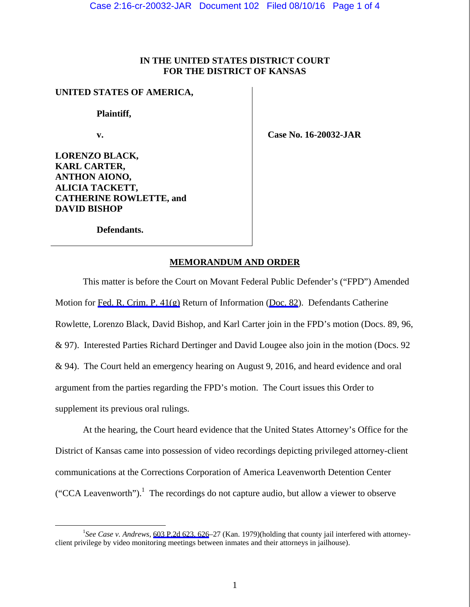# **IN THE UNITED STATES DISTRICT COURT FOR THE DISTRICT OF KANSAS**

## **UNITED STATES OF AMERICA,**

 **Plaintiff,** 

 **v.** 

 **Case No. 16-20032-JAR** 

**LORENZO BLACK, KARL CARTER, ANTHON AIONO, ALICIA TACKETT, CATHERINE ROWLETTE, and DAVID BISHOP** 

 **Defendants.** 

#### **MEMORANDUM AND ORDER**

 This matter is before the Court on Movant Federal Public Defender's ("FPD") Amended Motion for [Fed. R. Crim. P. 41\(g\)](https://www.westlaw.com/Link/Document/FullText?rs=USCLink&vr=3.0&findType=Y&cite=FRCRP+41(g)&clientid=USCourts) Return of Information ([Doc. 82\)](https://jenie.ao.dcn/ksd-ecf/d/cmecfservices/rest/file/finddoc?caseYear=2016&caseNum=20032&caseType=cr&caseOffice=2&docNum=82). Defendants Catherine Rowlette, Lorenzo Black, David Bishop, and Karl Carter join in the FPD's motion (Docs. 89, 96, & 97). Interested Parties Richard Dertinger and David Lougee also join in the motion (Docs. 92 & 94). The Court held an emergency hearing on August 9, 2016, and heard evidence and oral argument from the parties regarding the FPD's motion. The Court issues this Order to supplement its previous oral rulings.

 At the hearing, the Court heard evidence that the United States Attorney's Office for the District of Kansas came into possession of video recordings depicting privileged attorney-client communications at the Corrections Corporation of America Leavenworth Detention Center ("CCA Leavenworth").<sup>1</sup> The recordings do not capture audio, but allow a viewer to observe

 $\frac{1}{1}$ <sup>1</sup>See Case v. Andrews, [603 P.2d 623, 626–](https://www.westlaw.com/Link/Document/FullText?rs=USCLink&vr=3.0&findType=Y&cite=603+p.2d+623&refPos=626&refPosType=s&clientid=USCourts)27 (Kan. 1979)(holding that county jail interfered with attorneyclient privilege by video monitoring meetings between inmates and their attorneys in jailhouse).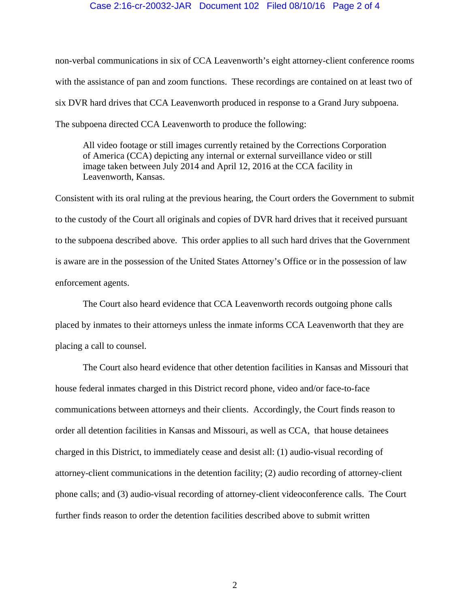### Case 2:16-cr-20032-JAR Document 102 Filed 08/10/16 Page 2 of 4

non-verbal communications in six of CCA Leavenworth's eight attorney-client conference rooms with the assistance of pan and zoom functions. These recordings are contained on at least two of six DVR hard drives that CCA Leavenworth produced in response to a Grand Jury subpoena. The subpoena directed CCA Leavenworth to produce the following:

All video footage or still images currently retained by the Corrections Corporation of America (CCA) depicting any internal or external surveillance video or still image taken between July 2014 and April 12, 2016 at the CCA facility in Leavenworth, Kansas.

Consistent with its oral ruling at the previous hearing, the Court orders the Government to submit to the custody of the Court all originals and copies of DVR hard drives that it received pursuant to the subpoena described above. This order applies to all such hard drives that the Government is aware are in the possession of the United States Attorney's Office or in the possession of law enforcement agents.

 The Court also heard evidence that CCA Leavenworth records outgoing phone calls placed by inmates to their attorneys unless the inmate informs CCA Leavenworth that they are placing a call to counsel.

The Court also heard evidence that other detention facilities in Kansas and Missouri that house federal inmates charged in this District record phone, video and/or face-to-face communications between attorneys and their clients. Accordingly, the Court finds reason to order all detention facilities in Kansas and Missouri, as well as CCA, that house detainees charged in this District, to immediately cease and desist all: (1) audio-visual recording of attorney-client communications in the detention facility; (2) audio recording of attorney-client phone calls; and (3) audio-visual recording of attorney-client videoconference calls. The Court further finds reason to order the detention facilities described above to submit written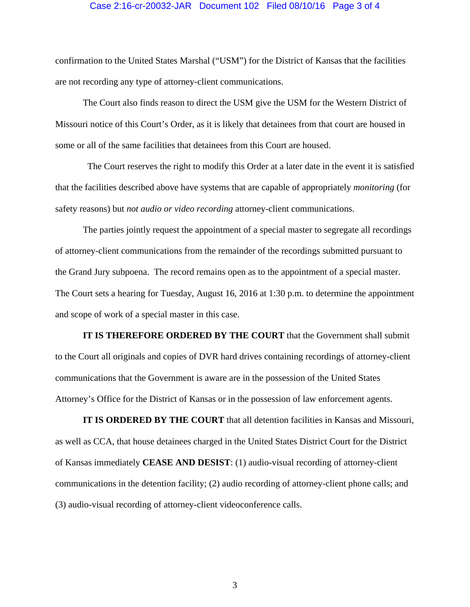### Case 2:16-cr-20032-JAR Document 102 Filed 08/10/16 Page 3 of 4

confirmation to the United States Marshal ("USM") for the District of Kansas that the facilities are not recording any type of attorney-client communications.

The Court also finds reason to direct the USM give the USM for the Western District of Missouri notice of this Court's Order, as it is likely that detainees from that court are housed in some or all of the same facilities that detainees from this Court are housed.

 The Court reserves the right to modify this Order at a later date in the event it is satisfied that the facilities described above have systems that are capable of appropriately *monitoring* (for safety reasons) but *not audio or video recording* attorney-client communications.

 The parties jointly request the appointment of a special master to segregate all recordings of attorney-client communications from the remainder of the recordings submitted pursuant to the Grand Jury subpoena. The record remains open as to the appointment of a special master. The Court sets a hearing for Tuesday, August 16, 2016 at 1:30 p.m. to determine the appointment and scope of work of a special master in this case.

**IT IS THEREFORE ORDERED BY THE COURT** that the Government shall submit to the Court all originals and copies of DVR hard drives containing recordings of attorney-client communications that the Government is aware are in the possession of the United States Attorney's Office for the District of Kansas or in the possession of law enforcement agents.

**IT IS ORDERED BY THE COURT** that all detention facilities in Kansas and Missouri, as well as CCA, that house detainees charged in the United States District Court for the District of Kansas immediately **CEASE AND DESIST**: (1) audio-visual recording of attorney-client communications in the detention facility; (2) audio recording of attorney-client phone calls; and (3) audio-visual recording of attorney-client videoconference calls.